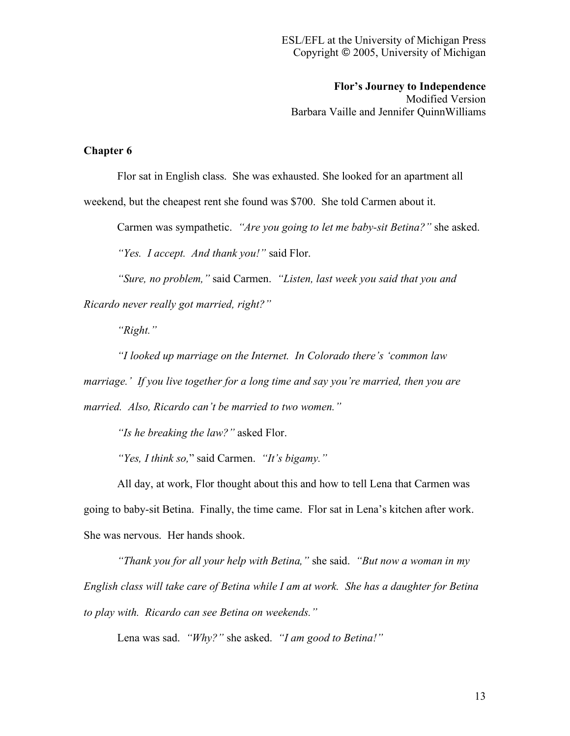**Flor's Journey to Independence**

Modified Version Barbara Vaille and Jennifer QuinnWilliams

## **Chapter 6**

Flor sat in English class. She was exhausted. She looked for an apartment all

weekend, but the cheapest rent she found was \$700. She told Carmen about it.

Carmen was sympathetic. *"Are you going to let me baby-sit Betina?"* she asked.

*"Yes. I accept. And thank you!"* said Flor.

*"Sure, no problem,"* said Carmen. *"Listen, last week you said that you and Ricardo never really got married, right?"*

*"Right."*

*"I looked up marriage on the Internet. In Colorado there's 'common law marriage.' If you live together for a long time and say you're married, then you are married. Also, Ricardo can't be married to two women."*

*"Is he breaking the law?"* asked Flor.

*"Yes, I think so,*" said Carmen. *"It's bigamy."*

All day, at work, Flor thought about this and how to tell Lena that Carmen was going to baby-sit Betina. Finally, the time came. Flor sat in Lena's kitchen after work. She was nervous. Her hands shook.

*"Thank you for all your help with Betina,"* she said. *"But now a woman in my English class will take care of Betina while I am at work. She has a daughter for Betina to play with. Ricardo can see Betina on weekends."*

Lena was sad. *"Why?"* she asked. *"I am good to Betina!"*